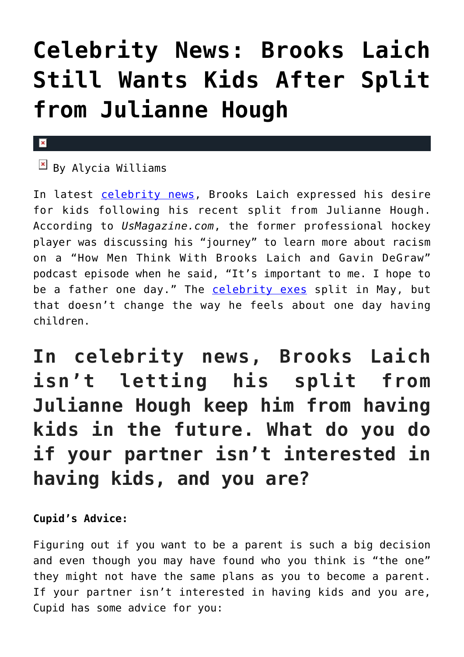## **[Celebrity News: Brooks Laich](https://cupidspulse.com/134885/celebrity-news-brooks-laich-wants-kids-after-split-julianne-hough/) [Still Wants Kids After Split](https://cupidspulse.com/134885/celebrity-news-brooks-laich-wants-kids-after-split-julianne-hough/) [from Julianne Hough](https://cupidspulse.com/134885/celebrity-news-brooks-laich-wants-kids-after-split-julianne-hough/)**

## $\pmb{\times}$

 $\overline{B}$  By Alycia Williams

In latest [celebrity news,](http://cupidspulse.com/celebrity-news/) Brooks Laich expressed his desire for kids following his recent split from Julianne Hough. According to *UsMagazine.com*, the former professional hockey player was discussing his "journey" to learn more about racism on a "How Men Think With Brooks Laich and Gavin DeGraw" podcast episode when he said, "It's important to me. I hope to be a father one day." The [celebrity exes](http://cupidspulse.com/celebrity-relationships/break-up-divorce/) split in May, but that doesn't change the way he feels about one day having children.

**In celebrity news, Brooks Laich isn't letting his split from Julianne Hough keep him from having kids in the future. What do you do if your partner isn't interested in having kids, and you are?**

**Cupid's Advice:** 

Figuring out if you want to be a parent is such a big decision and even though you may have found who you think is "the one" they might not have the same plans as you to become a parent. If your partner isn't interested in having kids and you are, Cupid has some advice for you: